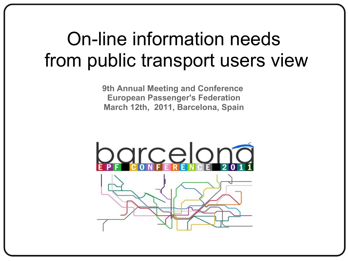#### On-line information needs from public transport users view

**9th Annual Meeting and Conference European Passenger's Federation March 12th, 2011, Barcelona, Spain**

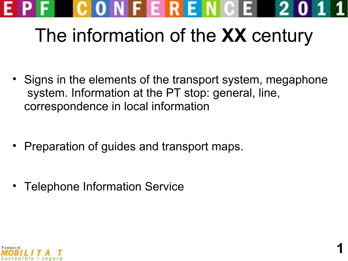

## The information of the **XX** century

• Signs in the elements of the transport system, megaphone system. Information at the PT stop: general, line, correspondence in local information

**1**

- Preparation of guides and transport maps.
- Telephone Information Service

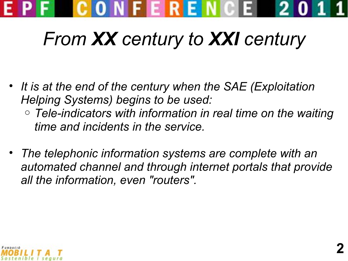

### *From XX century to XXI century*

- *It is at the end of the century when the SAE (Exploitation Helping Systems) begins to be used:*
	- o *Tele-indicators with information in real time on the waiting time and incidents in the service.*
- *The telephonic information systems are complete with an automated channel and through internet portals that provide all the information, even "routers".*

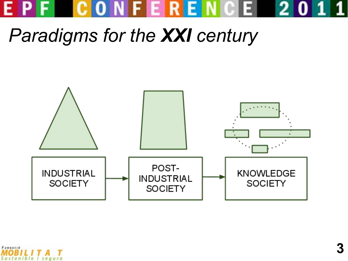

#### *Paradigms for the XXI century*



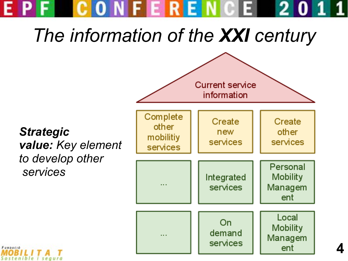#### EPFCONFERENCE 20

*The information of the XXI century*

**Current service** information Complete Create Create other new other mobilitiy services services *value: Key element*  services *to develop other*  Personal **Mobility** Integrated services Managem ent Local On **Mobility** demand

services

 $\cdots$ 



*Strategic* 

 *services*

Managem

ent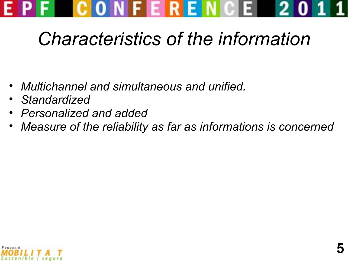

#### *Characteristics of the information*

- *Multichannel and simultaneous and unified.*
- *Standardized*
- *Personalized and added*
- *Measure of the reliability as far as informations is concerned*

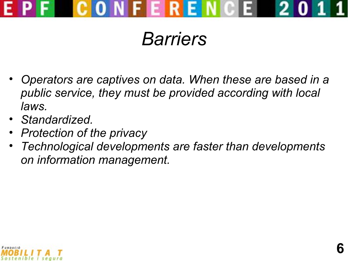

#### *Barriers*

- *Operators are captives on data. When these are based in a public service, they must be provided according with local laws.*
- *Standardized.*
- *Protection of the privacy*
- *Technological developments are faster than developments on information management.*

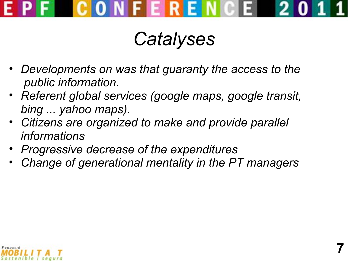

#### *Catalyses*

- *Developments on was that guaranty the access to the public information.*
- *Referent global services (google maps, google transit, bing ... yahoo maps).*
- *Citizens are organized to make and provide parallel informations*
- *Progressive decrease of the expenditures*
- *Change of generational mentality in the PT managers*

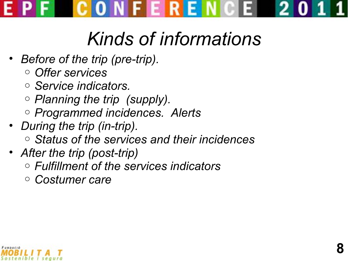CONFERENCE 2

### *Kinds of informations*

- *Before of the trip (pre-trip).*
	- o *Offer services*
	- o *Service indicators.*
	- o *Planning the trip (supply).*
	- o *Programmed incidences. Alerts*
- *During the trip (in-trip).*
	- o *Status of the services and their incidences*
- *After the trip (post-trip)*
	- o *Fulfillment of the services indicators*
	- o *Costumer care*

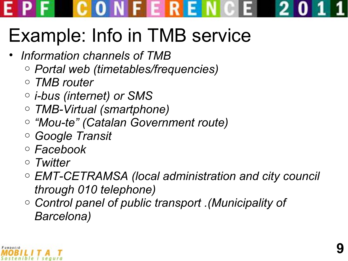#### CONFERENCE 2

## Example: Info in TMB service

- *Information channels of TMB*
	- o *Portal web (timetables/frequencies)*
	- o *TMB router*
	- o *i-bus (internet) or SMS*
	- o *TMB-Virtual (smartphone)*
	- o *"Mou-te" (Catalan Government route)*
	- o *Google Transit*
	- o *Facebook*
	- o *Twitter*
	- o *EMT-CETRAMSA (local administration and city council through 010 telephone)*
	- o *Control panel of public transport .(Municipality of Barcelona)*

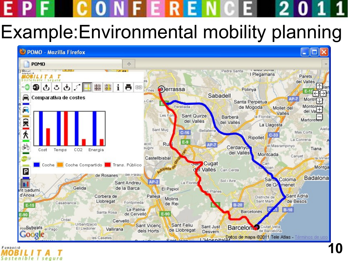# CONFERENCE

#### Example:Environmental mobility planning



FUNDACIÓ Sostenible seaura